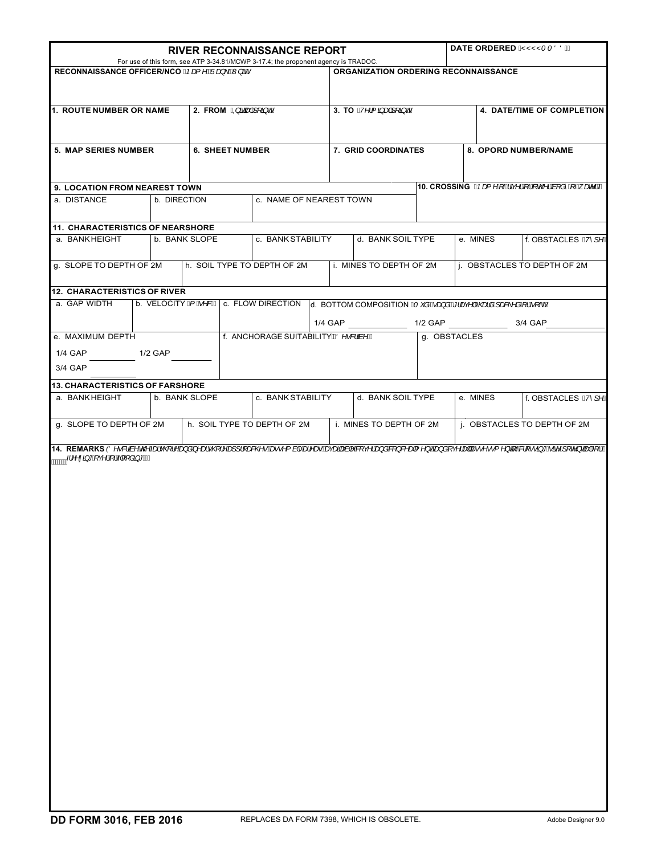| <b>RIVER RECONNAISSANCE REPORT</b>                                                                                                         |               |                         |                             |                                       |  |                                                                                | DATE ORDERED Q'YYYT TÖÖDÁ                                                                         |                                                         |                             |                      |                     |  |
|--------------------------------------------------------------------------------------------------------------------------------------------|---------------|-------------------------|-----------------------------|---------------------------------------|--|--------------------------------------------------------------------------------|---------------------------------------------------------------------------------------------------|---------------------------------------------------------|-----------------------------|----------------------|---------------------|--|
| For use of this form, see ATP 3-34.81/MCWP 3-17.4; the proponent agency is TRADOC.<br>RECONNAISSANCE OFFICER/NCO Case ^ BUOGO \ DAY aD     |               |                         |                             |                                       |  | ORGANIZATION ORDERING RECONNAISSANCE                                           |                                                                                                   |                                                         |                             |                      |                     |  |
| 1. ROUTE NUMBER OR NAME                                                                                                                    |               | 2. FROM @Rããaep4∫[a]dA  |                             |                                       |  | 3. TO $Q^{\prime\prime}/\{\tilde{q}$ and $\tilde{q}/\tilde{q}$ and $\tilde{q}$ |                                                                                                   |                                                         | 4. DATE/TIME OF COMPLETION  |                      |                     |  |
| 5. MAP SERIES NUMBER                                                                                                                       |               |                         | <b>6. SHEET NUMBER</b>      |                                       |  | 7. GRID COORDINATES                                                            |                                                                                                   |                                                         |                             | 8. OPORD NUMBER/NAME |                     |  |
|                                                                                                                                            |               |                         |                             |                                       |  |                                                                                |                                                                                                   |                                                         |                             |                      |                     |  |
| 9. LOCATION FROM NEAREST TOWN<br>a. DISTANCE                                                                                               | b. DIRECTION  | c. NAME OF NEAREST TOWN |                             |                                       |  |                                                                                |                                                                                                   | 10. CROSSING CPat ^ Á Áãy^¦Á ¦Á c@ ¦Áa [ å^Á -Á ane^¦DÁ |                             |                      |                     |  |
| <b>11. CHARACTERISTICS OF NEARSHORE</b>                                                                                                    |               |                         |                             |                                       |  |                                                                                |                                                                                                   |                                                         |                             |                      |                     |  |
| a. BANKHEIGHT                                                                                                                              | b. BANK SLOPE |                         |                             | c. BANK STABILITY                     |  | d. BANK SOIL TYPE                                                              |                                                                                                   |                                                         | e. MINES                    |                      | f. OBSTACLES Q'/1^L |  |
| g. SLOPE TO DEPTH OF 2M                                                                                                                    |               |                         | h. SOIL TYPE TO DEPTH OF 2M |                                       |  | i. MINES TO DEPTH OF 2M                                                        |                                                                                                   |                                                         | j. OBSTACLES TO DEPTH OF 2M |                      |                     |  |
| 12. CHARACTERISTICS OF RIVER                                                                                                               |               |                         |                             |                                       |  |                                                                                |                                                                                                   |                                                         |                             |                      |                     |  |
| a. GAP WIDTH                                                                                                                               |               |                         |                             |                                       |  |                                                                                | b. VELOCITY G BASDA C. FLOW DIRECTION 0. BOTTOM COMPOSITION C & BAGG and BEIGAN LAGGES AGA IA (AL |                                                         |                             |                      |                     |  |
|                                                                                                                                            |               |                         |                             |                                       |  |                                                                                | 1/4 GAP 1/2 GAP 3/4 GAP                                                                           |                                                         |                             |                      |                     |  |
| e. MAXIMUM DEPTH                                                                                                                           |               |                         |                             | f. ANCHORAGE SUITABILITY 400 . & 20 A |  |                                                                                |                                                                                                   | g. OBSTACLES                                            |                             |                      |                     |  |
| 1/4 GAP                                                                                                                                    | 1/2 GAP       |                         |                             |                                       |  |                                                                                |                                                                                                   |                                                         |                             |                      |                     |  |
| 3/4 GAP                                                                                                                                    |               |                         |                             |                                       |  |                                                                                |                                                                                                   |                                                         |                             |                      |                     |  |
| <b>13. CHARACTERISTICS OF FARSHORE</b><br>a. BANKHEIGHT                                                                                    | b. BANK SLOPE |                         | c. BANK STABILITY           |                                       |  | d. BANK SOIL TYPE                                                              |                                                                                                   |                                                         | e. MINES                    | f. OBSTACLES Q'/1^D  |                     |  |
| g. SLOPE TO DEPTH OF 2M                                                                                                                    |               |                         | h. SOIL TYPE TO DEPTH OF 2M |                                       |  | i. MINES TO DEPTH OF 2M                                                        |                                                                                                   |                                                         | j. OBSTACLES TO DEPTH OF 2M |                      |                     |  |
| 14. REMARKS (Ö^•&'är^á@Ázi•@¦^Áj∂Ă^zi•@¦^Áj]¦[z&@•Éło•^{ à ^Ázi^zoÉtœzzipzà ^Á[ç^¦ÁjåÁ[}&^z{^}dÉjåÁç^¦za Áz•^••{^}qÍ~Á![••ฮj*Ëä^Á[ơ}@#4{¦Á |               |                         |                             |                                       |  |                                                                                |                                                                                                   |                                                         |                             |                      |                     |  |
| mmmd "A chiÁi Al [ag * EA                                                                                                                  |               |                         |                             |                                       |  |                                                                                |                                                                                                   |                                                         |                             |                      |                     |  |